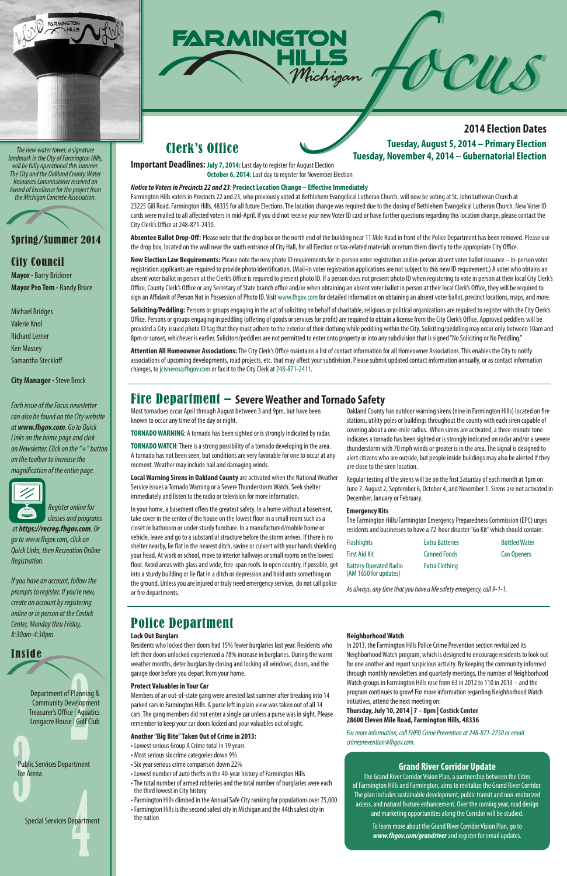# Spring/Summer 2014

# City Council

**Mayor -** Barry Brickner **Mayor Pro Tem -** Randy Bruce

Michael Bridges Valerie Knol Richard Lerner Ken Massey Samantha Steckloff

**City Manager -** Steve Brock

*Each issue of the Focus newsletter can also be found on the City website at www.fhgov.com. Go to Quick Links on the home page and click on Newsletter. Click on the "+" button on the toolbar to increase the magnification of the entire page.* 



 *Register online for classes and programs* 

 *at https://recreg.fhgov.com. Or go to www.fhgov.com, click on Quick Links, then Recreation Online Registration.*

*If you have an account, follow the prompts to register. If you're new, create an account by registering online or in person at the Costick Center, Monday thru Friday, 8:30am-4:30pm.*



Inside

Department of Planning & Community Development Treasurer's Office | Aquatics Longacre House | Golf Club

Public Services Department Ice Arena

Special Services Department





*The new water tower, a signature landmark in the City of Farmington Hills, will be fully operational this summer. The City and the Oakland County Water Resources Commissioner received an Award of Excellence for the project from the Michigan Concrete Association.*



### **Lock Out Burglars**

Residents who locked their doors had 15% fewer burglaries last year. Residents who left their doors unlocked experienced a 78% increase in burglaries. During the warm weather months, deter burglars by closing and locking all windows, doors, and the garage door before you depart from your home.

#### **Protect Valuables in Your Car**

Members of an out-of-state gang were arrested last summer after breaking into 14 parked cars in Farmington Hills. A purse left in plain view was taken out of all 14 cars. The gang members did not enter a single car unless a purse was in sight. Please remember to keep your car doors locked and your valuables out of sight.

#### **Another "Big Bite" Taken Out of Crime in 2013:**

- Lowest serious Group A Crime total in 19 years
- Most serious six crime categories down 9%
- Six year serious crime comparison down 22%
- Lowest number of auto thefts in the 40-year history of Farmington Hills
- The total number of armed robberies and the total number of burglaries were each the third lowest in City history
- Farmington Hills climbed in the Annual Safe City ranking for populations over 75,000
- Farmington Hills is the second safest city in Michigan and the 44th safest city in the nation

#### **Neighborhood Watch**

In 2013, the Farmington Hills Police Crime Prevention section revitalized its Neighborhood Watch program, which is designed to encourage residents to look out for one another and report suspicious activity. By keeping the community informed through monthly newsletters and quarterly meetings, the number of Neighborhood Watch groups in Farmington Hills rose from 63 in 2012 to 110 in 2013 – and the program continues to grow! For more information regarding Neighborhood Watch initiatives, attend the next meeting on:

Soliciting/Peddling: Persons or groups engaging in the act of soliciting on behalf of charitable, religious or political organizations are required to register with the City Clerk's Office. Persons or groups engaging in peddling (offering of goods or services for profit) are required to obtain a license from the City Clerk's Office. Approved peddlers will be provided a City-issued photo ID tag that they must adhere to the exterior of their clothing while peddling within the City. Soliciting/peddling may occur only between 10am and 8pm or sunset, whichever is earlier. Solicitors/peddlers are not permitted to enter onto property or into any subdivision that is signed "No Soliciting or No Peddling."

#### **Thursday, July 10, 2014 | 7 – 8pm | Costick Center 28600 Eleven Mile Road, Farmington Hills, 48336**

*For more information, call FHPD Crime Prevention at 248-871-2750 or email crimeprevention@fhgov.com.* 

# Police Department

**Important Deadlines: July 7, 2014:** Last day to register for August Election **October 6, 2014:** Last day to register for November Election

#### *Notice to Voters in Precincts 22 and 23*: **Precinct Location Change – Effective Immediately**

Farmington Hills voters in Precincts 22 and 23, who previously voted at Bethlehem Evangelical Lutheran Church, will now be voting at St. John Lutheran Church at 23225 Gill Road, Farmington Hills, 48335 for all future Elections. The location change was required due to the closing of Bethlehem Evangelical Lutheran Church. New Voter ID cards were mailed to all affected voters in mid-April. If you did not receive your new Voter ID card or have further questions regarding this location change, please contact the City Clerk's Office at 248-871-2410.

**Absentee Ballot Drop-Off:** Please note that the drop box on the north end of the building near 11 Mile Road in front of the Police Department has been removed. Please use the drop box, located on the wall near the south entrance of City Hall, for all Election or tax-related materials or return them directly to the appropriate City Office.

**New Election Law Requirements:** Please note the new photo ID requirements for in-person voter registration and in-person absent voter ballot issuance – in-person voter registration applicants are required to provide photo identification. (Mail-in voter registration applications are not subject to this new ID requirement.) A voter who obtains an absent voter ballot in person at the Clerk's Office is required to present photo ID. If a person does not present photo ID when registering to vote in person at their local City Clerk's Office, County Clerk's Office or any Secretary of State branch office and/or when obtaining an absent voter ballot in person at their local Clerk's Office, they will be required to sign an Affidavit of Person Not in Possession of Photo ID. Visit www.fhgov.com for detailed information on obtaining an absent voter ballot, precinct locations, maps, and more.

**Attention All Homeowner Associations:** The City Clerk's Office maintains a list of contact information for all Homeowner Associations. This enables the City to notify associations of upcoming developments, road projects, etc. that may affect your subdivision. Please submit updated contact information annually, or as contact information changes, to jcisneros@fhgov.com or fax it to the City Clerk at 248-871-2411.

# Clerk's Office

Most tornadoes occur April through August between 3 and 9pm, but have been known to occur any time of the day or night.

**TORNADO WARNING**: A tornado has been sighted or is strongly indicated by radar.

**TORNADO WATCH**: There is a strong possibility of a tornado developing in the area. A tornado has not been seen, but conditions are very favorable for one to occur at any moment. Weather may include hail and damaging winds.

**Local Warning Sirens in Oakland County** are activated when the National Weather Service issues a Tornado Warning or a Severe Thunderstorm Watch. Seek shelter immediately and listen to the radio or television for more information.

In your home, a basement offers the greatest safety. In a home without a basement, take cover in the center of the house on the lowest floor in a small room such as a closet or bathroom or under sturdy furniture. In a manufactured/mobile home or vehicle, leave and go to a substantial structure before the storm arrives. If there is no shelter nearby, lie flat in the nearest ditch, ravine or culvert with your hands shielding your head. At work or school, move to interior hallways or small rooms on the lowest floor. Avoid areas with glass and wide, free-span roofs. In open country, if possible, get into a sturdy building or lie flat in a ditch or depression and hold onto something on the ground. Unless you are injured or truly need emergency services, do not call police or fire departments.

Oakland County has outdoor warning sirens (nine in Farmington Hills) located on fire stations, utility poles or buildings throughout the county with each siren capable of covering about a one-mile radius. When sirens are activated, a three-minute tone indicates a tornado has been sighted or is strongly indicated on radar and/or a severe thunderstorm with 70 mph winds or greater is in the area. The signal is designed to alert citizens who are outside, but people inside buildings may also be alerted if they are close to the siren location.

Regular testing of the sirens will be on the first Saturday of each month at 1pm on June 7, August 2, September 6, October 4, and November 1. Sirens are not activated in December, January or February.

#### **Emergency Kits**

The Farmington Hills/Farmington Emergency Preparedness Commission (EPC) urges residents and businesses to have a 72-hour disaster "Go Kit" which should contain:

| <b>Flashlights</b>                                     | <b>Extra Batteries</b> | <b>Bottled Water</b> |
|--------------------------------------------------------|------------------------|----------------------|
| <b>First Aid Kit</b>                                   | <b>Canned Foods</b>    | <b>Can Openers</b>   |
| <b>Battery Operated Radio</b><br>(AM 1650 for updates) | <b>Extra Clothing</b>  |                      |

*As always, any time that you have a life safety emergency, call 9-1-1.* 

# Fire Department – **Severe Weather and Tornado Safety**

#### **Grand River Corridor Update**

The Grand River Corridor Vision Plan, a partnership between the Cities of Farmington Hills and Farmington, aims to revitalize the Grand River Corridor. The plan includes sustainable development, public transit and non-motorized access, and natural feature enhancement. Over the coming year, road design and marketing opportunities along the Corridor will be studied.

# **Tuesday, August 5, 2014 – Primary Election Tuesday, November 4, 2014 – Gubernatorial Election 2014 Election Dates**

To learn more about the Grand River Corridor Vision Plan, go to *www.fhgov.com/grandriver* and register for email updates.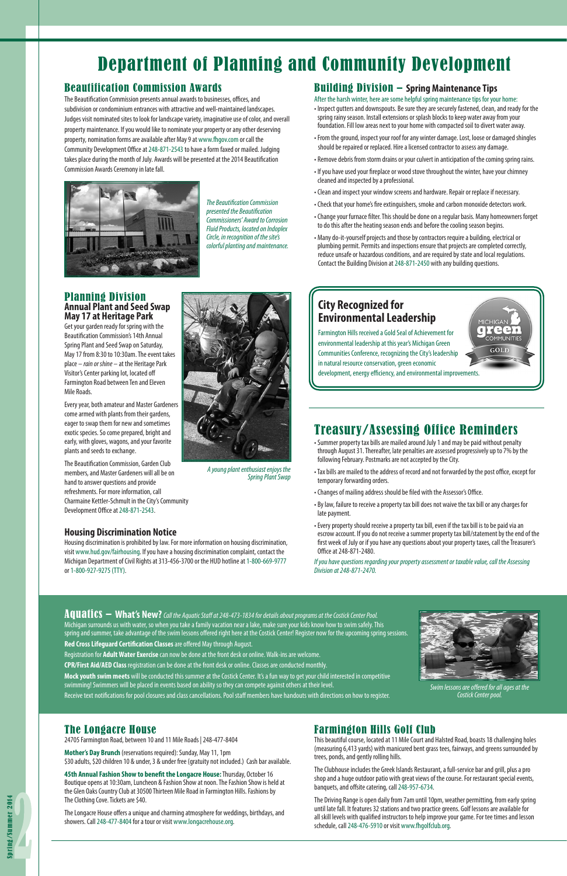# Department of Planning and Community Development

### **Housing Discrimination Notice**

Housing discrimination is prohibited by law. For more information on housing discrimination, visit www.hud.gov/fairhousing. If you have a housing discrimination complaint, contact the Michigan Department of Civil Rights at 313-456-3700 or the HUD hotline at 1-800-669-9777 or 1-800-927-9275 (TTY).

# Beautification Commission Awards

The Beautification Commission presents annual awards to businesses, offices, and subdivision or condominium entrances with attractive and well-maintained landscapes. Judges visit nominated sites to look for landscape variety, imaginative use of color, and overall property maintenance. If you would like to nominate your property or any other deserving property, nomination forms are available after May 9 at www.fhgov.com or call the Community Development Office at 248-871-2543 to have a form faxed or mailed. Judging takes place during the month of July. Awards will be presented at the 2014 Beautification Commission Awards Ceremony in late fall.



*The Beautification Commission presented the Beautification Commissioners' Award to Corrosion Fluid Products, located on Indoplex Circle, in recognition of the site's colorful planting and maintenance.*

# Building Division – **Spring Maintenance Tips**

After the harsh winter, here are some helpful spring maintenance tips for your home:

- Inspect gutters and downspouts. Be sure they are securely fastened, clean, and ready for the spring rainy season. Install extensions or splash blocks to keep water away from your foundation. Fill low areas next to your home with compacted soil to divert water away.
- From the ground, inspect your roof for any winter damage. Lost, loose or damaged shingles should be repaired or replaced. Hire a licensed contractor to assess any damage.
- Remove debris from storm drains or your culvert in anticipation of the coming spring rains.
- If you have used your fireplace or wood stove throughout the winter, have your chimney cleaned and inspected by a professional.
- Clean and inspect your window screens and hardware. Repair or replace if necessary.
- Check that your home's fire extinguishers, smoke and carbon monoxide detectors work.
- Change your furnace filter. This should be done on a regular basis. Many homeowners forget to do this after the heating season ends and before the cooling season begins.
- Many do-it-yourself projects and those by contractors require a building, electrical or plumbing permit. Permits and inspections ensure that projects are completed correctly, reduce unsafe or hazardous conditions, and are required by state and local regulations. Contact the Building Division at 248-871-2450 with any building questions.

Aquatics – **What's New?** *Call the Aquatic Staff at 248-473-1834 for details about programs at the Costick Center Pool.* Michigan surrounds us with water, so when you take a family vacation near a lake, make sure your kids know how to swim safely. This spring and summer, take advantage of the swim lessons offered right here at the Costick Center! Register now for the upcoming spring sessions. **Red Cross Lifeguard Certification Classes** are offered May through August. Registration for **Adult Water Exercise** can now be done at the front desk or online. Walk-ins are welcome. **CPR/First Aid/AED Class** registration can be done at the front desk or online. Classes are conducted monthly. **Mock youth swim meets** will be conducted this summer at the Costick Center. It's a fun way to get your child interested in competitive swimming! Swimmers will be placed in events based on ability so they can compete against others at their level. Receive text notifications for pool closures and class cancellations. Pool staff members have handouts with directions on how to register.

#### Planning Division **Annual Plant and Seed Swap May 17 at Heritage Park**

Get your garden ready for spring with the Beautification Commission's 14th Annual Spring Plant and Seed Swap on Saturday, May 17 from 8:30 to 10:30am. The event takes place – *rain or shine* – at the Heritage Park Visitor's Center parking lot, located off Farmington Road between Ten and Eleven Mile Roads.

Every year, both amateur and Master Gardeners come armed with plants from their gardens, eager to swap them for new and sometimes exotic species. So come prepared, bright and early, with gloves, wagons, and your favorite plants and seeds to exchange.

The Beautification Commission, Garden Club members, and Master Gardeners will all be on hand to answer questions and provide refreshments. For more information, call Charmaine Kettler-Schmult in the City's Community Development Office at 248-871-2543.

*A young plant enthusiast enjoys the Spring Plant Swap*

Farmington Hills received a Gold Seal of Achievement for environmental leadership at this year's Michigan Green Communities Conference, recognizing the City's leadership in natural resource conservation, green economic development, energy efficiency, and environmental improvements.



# **City Recognized for Environmental Leadership**

# Farmington Hills Golf Club

This beautiful course, located at 11 Mile Court and Halsted Road, boasts 18 challenging holes (measuring 6,413 yards) with manicured bent grass tees, fairways, and greens surrounded by trees, ponds, and gently rolling hills.

The Clubhouse includes the Greek Islands Restaurant, a full-service bar and grill, plus a pro shop and a huge outdoor patio with great views of the course. For restaurant special events, banquets, and offsite catering, call 248-957-6734.

The Driving Range is open daily from 7am until 10pm, weather permitting, from early spring until late fall. It features 32 stations and two practice greens. Golf lessons are available for all skill levels with qualified instructors to help improve your game. For tee times and lesson schedule, call 248-476-5910 or visit www.fhgolfclub.org.

### The Longacre House

24705 Farmington Road, between 10 and 11 Mile Roads | 248-477-8404

**Mother's Day Brunch** (reservations required): Sunday, May 11, 1pm \$30 adults, \$20 children 10 & under, 3 & under free (gratuity not included.) Cash bar available.

**45th Annual Fashion Show to benefit the Longacre House:** Thursday, October 16 Boutique opens at 10:30am, Luncheon & Fashion Show at noon. The Fashion Show is held at the Glen Oaks Country Club at 30500 Thirteen Mile Road in Farmington Hills. Fashions by The Clothing Cove. Tickets are \$40.

The Longacre House offers a unique and charming atmosphere for weddings, birthdays, and showers. Call 248-477-8404 for a tour or visit www.longacrehouse.org.

# Treasury/Assessing Office Reminders

- Summer property tax bills are mailed around July 1 and may be paid without penalty through August 31. Thereafter, late penalties are assessed progressively up to 7% by the following February. Postmarks are not accepted by the City.
- Tax bills are mailed to the address of record and not forwarded by the post office, except for temporary forwarding orders.
- Changes of mailing address should be filed with the Assessor's Office.
- By law, failure to receive a property tax bill does not waive the tax bill or any charges for late payment.
- Every property should receive a property tax bill, even if the tax bill is to be paid via an escrow account. If you do not receive a summer property tax bill/statement by the end of the first week of July or if you have any questions about your property taxes, call the Treasurer's Office at 248-871-2480.

*If you have questions regarding your property assessment or taxable value, call the Assessing Division at 248-871-2470.*



*Swim lessons are offered for all ages at the Costick Center pool.*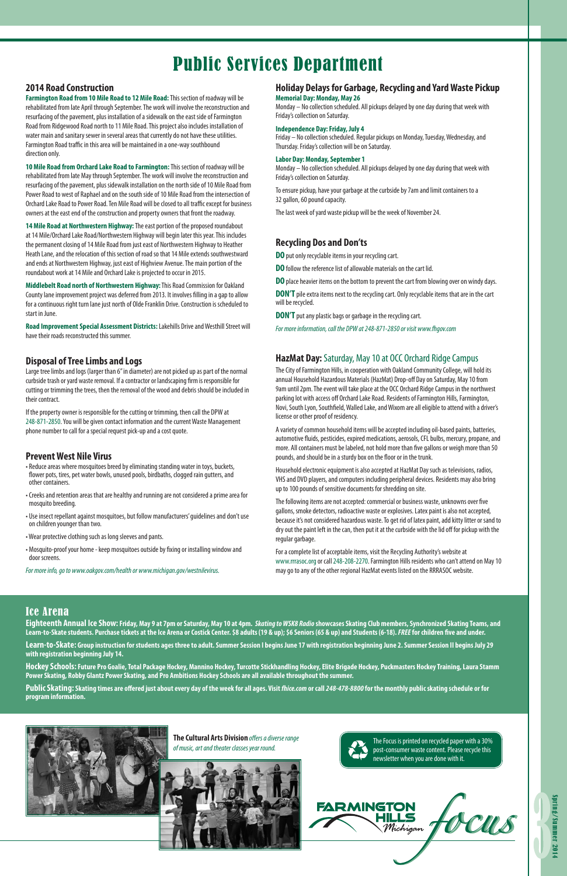

# Public Services Department

#### **2014 Road Construction**

**Farmington Road from 10 Mile Road to 12 Mile Road:** This section of roadway will be rehabilitated from late April through September. The work will involve the reconstruction and resurfacing of the pavement, plus installation of a sidewalk on the east side of Farmington Road from Ridgewood Road north to 11 Mile Road. This project also includes installation of water main and sanitary sewer in several areas that currently do not have these utilities. Farmington Road traffic in this area will be maintained in a one-way southbound direction only.

**10 Mile Road from Orchard Lake Road to Farmington:** This section of roadway will be rehabilitated from late May through September. The work will involve the reconstruction and resurfacing of the pavement, plus sidewalk installation on the north side of 10 Mile Road from Power Road to west of Raphael and on the south side of 10 Mile Road from the intersection of Orchard Lake Road to Power Road. Ten Mile Road will be closed to all traffic except for business owners at the east end of the construction and property owners that front the roadway.

**14 Mile Road at Northwestern Highway:** The east portion of the proposed roundabout at 14 Mile/Orchard Lake Road/Northwestern Highway will begin later this year. This includes the permanent closing of 14 Mile Road from just east of Northwestern Highway to Heather Heath Lane, and the relocation of this section of road so that 14 Mile extends southwestward and ends at Northwestern Highway, just east of Highview Avenue. The main portion of the roundabout work at 14 Mile and Orchard Lake is projected to occur in 2015.

**Middlebelt Road north of Northwestern Highway:** This Road Commission for Oakland County lane improvement project was deferred from 2013. It involves filling in a gap to allow for a continuous right turn lane just north of Olde Franklin Drive. Construction is scheduled to start in June.

**Road Improvement Special Assessment Districts:** Lakehills Drive and Westhill Street will have their roads reconstructed this summer.

> The Focus is printed on recycled paper with a 30% post-consumer waste content. Please recycle this newsletter when you are done with it.

#### **Prevent West Nile Virus**

- Reduce areas where mosquitoes breed by eliminating standing water in toys, buckets, flower pots, tires, pet water bowls, unused pools, birdbaths, clogged rain gutters, and other containers.
- Creeks and retention areas that are healthy and running are not considered a prime area for mosquito breeding.
- Use insect repellant against mosquitoes, but follow manufacturers' guidelines and don't use on children younger than two.
- Wear protective clothing such as long sleeves and pants.
- Mosquito-proof your home keep mosquitoes outside by fixing or installing window and door screens.

*For more info, go to www.oakgov.com/health or www.michigan.gov/westnilevirus.*

#### **Disposal of Tree Limbs and Logs**

Large tree limbs and logs (larger than 6" in diameter) are not picked up as part of the normal curbside trash or yard waste removal. If a contractor or landscaping firm is responsible for cutting or trimming the trees, then the removal of the wood and debris should be included in their contract.

If the property owner is responsible for the cutting or trimming, then call the DPW at 248-871-2850. You will be given contact information and the current Waste Management phone number to call for a special request pick-up and a cost quote.

#### **Holiday Delays for Garbage, Recycling and Yard Waste Pickup**

#### **Memorial Day: Monday, May 26**

Monday – No collection scheduled. All pickups delayed by one day during that week with Friday's collection on Saturday.

#### **Independence Day: Friday, July 4**

Friday – No collection scheduled. Regular pickups on Monday, Tuesday, Wednesday, and Thursday. Friday's collection will be on Saturday.

#### **Labor Day: Monday, September 1**

Monday – No collection scheduled. All pickups delayed by one day during that week with Friday's collection on Saturday.

To ensure pickup, have your garbage at the curbside by 7am and limit containers to a 32 gallon, 60 pound capacity.

The last week of yard waste pickup will be the week of November 24.

#### **Recycling Dos and Don'ts**

**DO** put only recyclable items in your recycling cart.

**DO** follow the reference list of allowable materials on the cart lid.

**DO** place heavier items on the bottom to prevent the cart from blowing over on windy days.

**DON'T** pile extra items next to the recycling cart. Only recyclable items that are in the cart will be recycled.

**DON'T** put any plastic bags or garbage in the recycling cart.

*For more information, call the DPW at 248-871-2850 or visit www.fhgov.com*

### Ice Arena

**Eighteenth Annual Ice Show: Friday, May 9 at 7pm or Saturday, May 10 at 4pm.** *Skating to WSK8 Radio* **showcases Skating Club members, Synchronized Skating Teams, and Learn-to-Skate students. Purchase tickets at the Ice Arena or Costick Center. \$8 adults (19 & up); \$6 Seniors (65 & up) and Students (6-18).** *FREE* **for children five and under. Learn-to-Skate: Group instruction for students ages three to adult. Summer Session I begins June 17 with registration beginning June 2. Summer Session II begins July 29 with registration beginning July 14.** 

**Hockey Schools: Future Pro Goalie, Total Package Hockey, Mannino Hockey, Turcotte Stickhandling Hockey, Elite Brigade Hockey, Puckmasters Hockey Training, Laura Stamm Power Skating, Robby Glantz Power Skating, and Pro Ambitions Hockey Schools are all available throughout the summer.**

**Public Skating: Skating times are offered just about every day of the week for all ages. Visit** *fhice.com* **or call** *248-478-8800* **for the monthly public skating schedule or for program information.**



**The Cultural Arts Division** *offers a diverse range of music, art and theater classes year round.*





### **HazMat Day:** Saturday, May 10 at OCC Orchard Ridge Campus

The City of Farmington Hills, in cooperation with Oakland Community College, will hold its annual Household Hazardous Materials (HazMat) Drop-off Day on Saturday, May 10 from 9am until 2pm. The event will take place at the OCC Orchard Ridge Campus in the northwest parking lot with access off Orchard Lake Road. Residents of Farmington Hills, Farmington, Novi, South Lyon, Southfield, Walled Lake, and Wixom are all eligible to attend with a driver's license or other proof of residency.

A variety of common household items will be accepted including oil-based paints, batteries, automotive fluids, pesticides, expired medications, aerosols, CFL bulbs, mercury, propane, and more. All containers must be labeled, not hold more than five gallons or weigh more than 50 pounds, and should be in a sturdy box on the floor or in the trunk.

Household electronic equipment is also accepted at HazMat Day such as televisions, radios, VHS and DVD players, and computers including peripheral devices. Residents may also bring up to 100 pounds of sensitive documents for shredding on site.

The following items are not accepted: commercial or business waste, unknowns over five gallons, smoke detectors, radioactive waste or explosives. Latex paint is also not accepted, because it's not considered hazardous waste. To get rid of latex paint, add kitty litter or sand to dry out the paint left in the can, then put it at the curbside with the lid off for pickup with the regular garbage.

For a complete list of acceptable items, visit the Recycling Authority's website at www.rrrasoc.org or call 248-208-2270. Farmington Hills residents who can't attend on May 10 may go to any of the other regional HazMat events listed on the RRRASOC website.